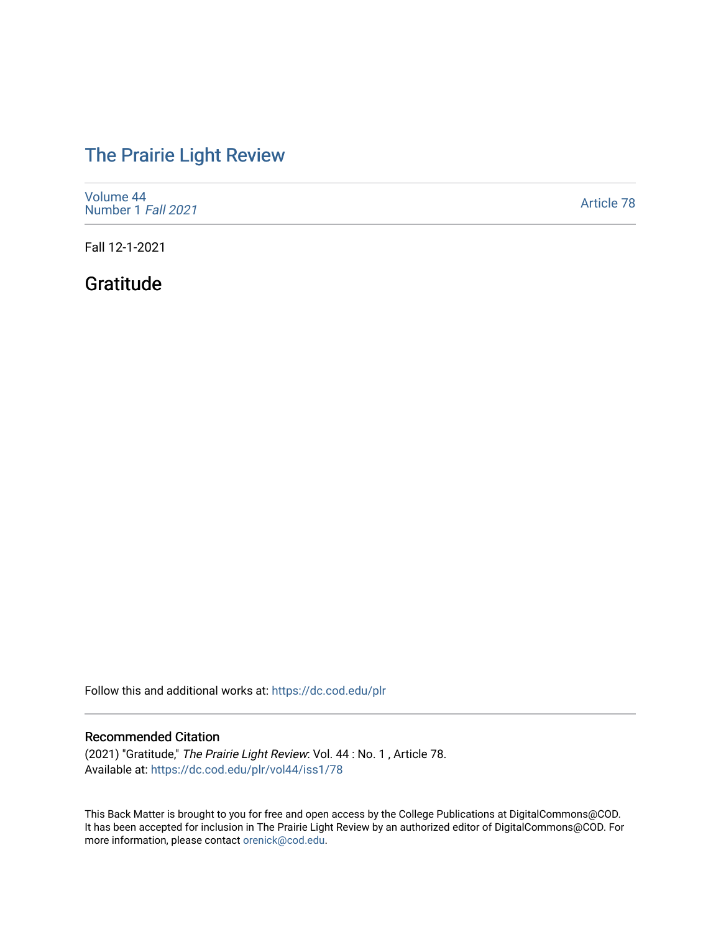# [The Prairie Light Review](https://dc.cod.edu/plr)

| Volume 44<br>Number 1 Fall 2021 | Article 78 |
|---------------------------------|------------|
|---------------------------------|------------|

Fall 12-1-2021

## Gratitude

Follow this and additional works at: [https://dc.cod.edu/plr](https://dc.cod.edu/plr?utm_source=dc.cod.edu%2Fplr%2Fvol44%2Fiss1%2F78&utm_medium=PDF&utm_campaign=PDFCoverPages) 

### Recommended Citation

(2021) "Gratitude," The Prairie Light Review: Vol. 44 : No. 1 , Article 78. Available at: [https://dc.cod.edu/plr/vol44/iss1/78](https://dc.cod.edu/plr/vol44/iss1/78?utm_source=dc.cod.edu%2Fplr%2Fvol44%2Fiss1%2F78&utm_medium=PDF&utm_campaign=PDFCoverPages)

This Back Matter is brought to you for free and open access by the College Publications at DigitalCommons@COD. It has been accepted for inclusion in The Prairie Light Review by an authorized editor of DigitalCommons@COD. For more information, please contact [orenick@cod.edu.](mailto:orenick@cod.edu)